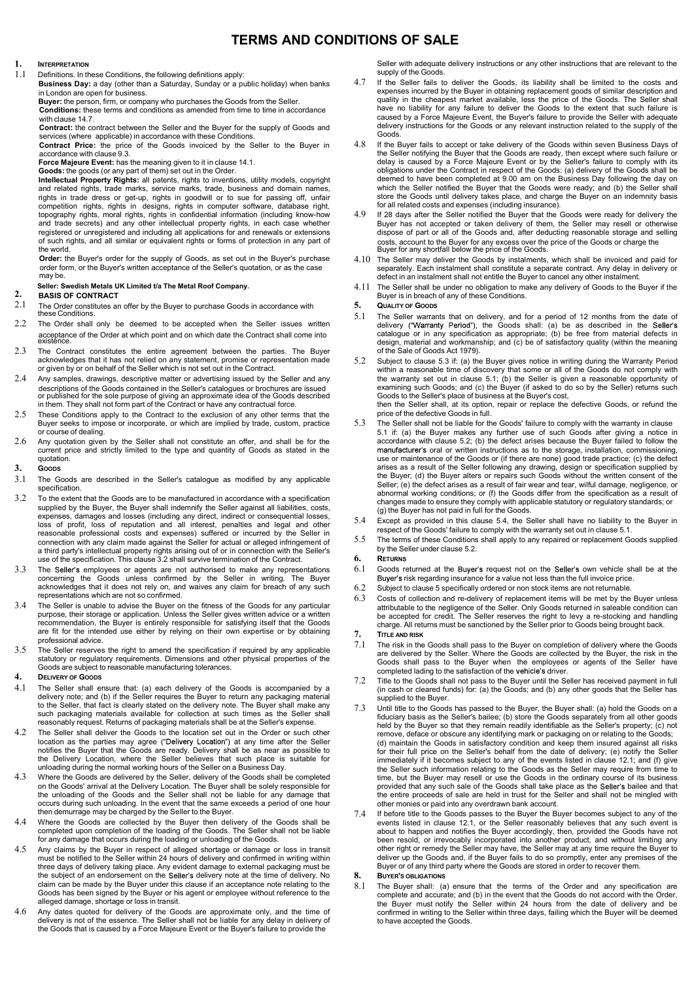## TERMS AND CONDITIONS OF SALE

# 1. INTERPRETATION

Definitions. In these Conditions, the following definitions apply:

Business Day: a day (other than a Saturday, Sunday or a public holiday) when banks 4.7 in London are open for business.

Buyer: the person, firm, or company who purchases the Goods from the Seller. Conditions: these terms and conditions as amended from time to time in accordance<br>with clause 14 7

with clause 14.7.<br>Contract: the contract between the Seller and the Buyer for the supply of Goods and delivery instructions for the Goods or any releva

services (where applicable) in accordance with these Conditions.<br> **Contract Price:** the price of the Goods invoiced by the Seller to the Buver in  $4.8$ Contract Price: the price of the Goods invoiced by the Seller to the Buyer in accordance with clause 9.3.

Force Majeure Event: has the meaning given to it in clause 14.1.

Goods: the goods (or any part of them) set out in the Order. Intellectual Property Rights: all patents, rights to inventions, utility models, copyright and related rights, trade marks, service marks, trade, business and domain names, which the Seller notifie<br>rights in trade dress or get-up, rights in goodwill or to sue for passing off, unfair store the Goods unt topography rights, moral rights, rights in confidential information (including know-how 4.9 If 28 days after the Seller notified the Buyer that the Goods were<br>The Buyer has not accepted or taken delivery of them, the Selle of such rights, and all similar or equivalent rights or forms of protection in any part of the world.

Order: the Buyer's order for the supply of Goods, as set out in the Buyer's purchase may be. order form, or the Buyer's written acceptance of the Seller's quotation, or as the case

## Seller: Swedish Metals UK Limited t/a The Metal Roof Company.

## 2. BASIS OF CONTRACT

- $2.1$  The Order constitutes an offer by the Buyer to purchase Goods in accordance with  $\,$  5. Quанту ог Goods  $\,$ these Conditions.
- 2.2 The Order shall only be deemed to be accepted when the Seller issues written existence. acceptance of the Order at which point and on which date the Contract shall come into
- 2.3 The Contract constitutes the entire agreement between the parties. The Buyer acknowledges that it has not relied on any statement, promise or representation made  $5.2$ or given by or on behalf of the Seller which is not set out in the Contract.
- 2.4 Any samples, drawings, descriptive matter or advertising issued by the Seller and any descriptions of the Goods contained in the Seller's catalogues or brochures are issued and the xamining such Goods; and (c) the Buyer (if a<br>or published for the sole purpose of giving an approximate idea of the Goods descr in them. They shall not form part of the Contract or have any contractual force.
- 2.5 These Conditions apply to the Contract to the exclusion of any other terms that the<br>Buyer seeks to impose or incorporate or which are implied by trade custom practice 5.3 Buyer seeks to impose or incorporate, or which are implied by trade, custom, practice or course of dealing.
- 2.6 Any quotation given by the Seller shall not constitute an offer, and shall be for the current price and strictly limited to the type and quantity of Goods as stated in the quotation.

## 3. GOODS

- 3.1 The Goods are described in the Seller's catalogue as modified by any applicable specification.
- 3.2 To the extent that the Goods are to be manufactured in accordance with a specification supplied by the Buyer, the Buyer shall indemnify the Seller against all liabilities, costs, expenses, damages and losses (including any direct, indirect or consequential losses,  $\frac{54}{9}$ loss of profit, loss of reputation and all interest, penalties and legal and other<br>reasonable professional costs and expenses) suffered or incurred by the Seller in connection with any claim made against the Seller for actual or alleged infringement of a third party's intellectual property rights arising out of or in connection with the Seller's by the Seller under clause 5.2.<br>use of the specification. This clause 3.2 shall survive termination of the Contract. **6. RETURN**
- 3.3 The Seller's employees or agents are not authorised to make any representations  $6.1$ concerning the Goods unless confirmed by the Seller in writing. The Buyer acknowledges that it does not rely on, and waives any claim for breach of any such 6.2 representations which are not so confirmed.
- representations which are not so confirmed.<br>3.4 The Seller is unable to advise the Buyer on the fitness of the Goods for any particular 6.3 purpose, their storage or application. Unless the Seller gives written advice or a written recommendation, the Buyer is entirely responsible for satisfying itself that the Goods are fit for the intended use either by relying on their own expertise or by obtaining 7. professional advice.
- 3.5 The Seller reserves the right to amend the specification if required by any applicable statutory or regulatory requirements. Dimensions and other physical properties of the Goods are subject to reasonable manufacturing tolerances.
- 4. DELIVERY OF GOODS
- 4.1 The Seller shall ensure that: (a) each delivery of the Goods is accompanied by a<br>delivery note; and (b) if the Seller requires the Buyer to return any packaging material supplied to the Buyer to the Seller, that fact is clearly stated on the delivery note. The Buyer shall make any  $\frac{1}{2}$  Until title to the Goods has passed to the Suler's hailers of the Seller's hailers (h) and the Seller's hailers (h) and th reasonably request. Returns of packaging materials shall be at the Seller's expense.
- 4.2 The Seller shall deliver the Goods to the location set out in the Order or such other location as the parties may agree ("Delivery Location") at any time after the Seller (d) maintain the Goods in satisfactory condition<br>notifies the Buyer that the Goods are ready. Delivery shall be as near as possible to fo unloading during the normal working hours of the Seller on a Business Day.
- 4.3 Where the Goods are delivered by the Seller, delivery of the Goods shall be completed on the Goods' arrival at the Delivery Location. The Buyer shall be solely responsible for stare the provided that any such<br>the unloading of the Goods and the Seller shall not be liable for any damage that stare the entire occurs during such unloading. In the event that the same exceeds a period of one hour then demurrage may be charged by the Seller to the Buyer.
- 4.4 Where the Goods are collected by the Buyer then delivery of the Goods shall be completed upon completion of the loading of the Goods. The Seller shall not be liable for any damage that occurs during the loading or unloading of the Goods.
- 4.5 Any claims by the Buyer in respect of alleged shortage or damage or loss in transit other right or remedy the Seller may have, the S<br>must be notified to the Seller within 24 hours of delivery and confirmed in writing w the subject of an endorsement on the Seller's delivery note at the time of delivery. No  $\overline{\phantom{a}}$  8. claim can be made by the Buyer under this clause if an acceptance note relating to the 8.1 Goods has been signed by the Buyer or his agent or employee without reference to the alleged damage, shortage or loss in transit.
- 4.6 Any dates quoted for delivery of the Goods are approximate only, and the time of confirmed in writing distribution of the essence. The Seller shall not be liable for any delay in delivery of the Goods that is caused by

Seller with adequate delivery instructions or any other instructions that are relevant to the supply of the Goods.

- If the Seller fails to deliver the Goods, its liability shall be limited to the costs and expenses incurred by the Buyer in obtaining replacement goods of similar description and quality in the cheapest market available, less the price of the Goods. The Seller shall have no liability for any failure to deliver the Goods to the extent that such failure is caused by a Force Majeure Event, the Buyer's failure to provide the Seller with adequate delivery instructions for the Goods or any relevant instruction related to the supply of the
- Goods.<br>4.8 If the Buyer fails to accept or take delivery of the Goods within seven Business Days of<br>the Seller notifying the Buyer that the Goods are ready, then except where such failure or<br>delay is caused by a Force Maje obligations under the Contract in respect of the Goods: (a) delivery of the Goods shall be deemed to have been completed at 9.00 am on the Business Day following the day on which the Seller notified the Buyer that the Goods were ready; and (b) the Seller shall store the Goods until delivery takes place, and charge the Buyer on an indemnity basis for all related costs and expenses (including insurance).
- 4.9 If 28 days after the Seller notified the Buyer that the Goods were ready for delivery the Buyer has not accepted or taken delivery of them, the Seller may resell or otherwise dispose of part or all of the Goods and, after deducting reasonable storage and selling Buyer for any shortfall below the price of the Goods. costs, account to the Buyer for any excess over the price of the Goods or charge the
- 4.10 The Seller may deliver the Goods by instalments, which shall be invoiced and paid for separately. Each instalment shall constitute a separate contract. Any delay in delivery or defect in an instalment shall not entitle the Buyer to cancel any other instalment.
- 4.11 The Seller shall be under no obligation to make any delivery of Goods to the Buyer if the Buyer is in breach of any of these Conditions.
- 5. QUALITY OF GOODS
- 5.1 The Seller warrants that on delivery, and for a period of 12 months from the date of delivery ("Warranty Period"), the Goods shall: (a) be as described in the Seller's catalogue or in any specification as appropriate; design, material and workmanship; and (c) be of satisfactory quality (within the meaning of the Sale of Goods Act 1979).
- 5.2 Subject to clause 5.3 if: (a) the Buyer gives notice in writing during the Warranty Period within a reasonable time of discovery that some or all of the Goods do not comply with the warranty set out in clause 5.1; (b) examining such Goods; and (c) the Buyer (if asked to do so by the Seller) returns such Goods to the Seller's place of business at the Buyer's cost, then the Seller shall, at its option, repair or replace the defective Goods, or refund the

price of the defective Goods in full.

- 5.3 The Seller shall not be liable for the Goods' failure to comply with the warranty in clause 5.1 if: (a) the Buyer makes any further use of such Goods after giving a notice in accordance with clause 5.2; (b) the defect arises because the Buyer failed to follow the manufacturer's oral or written instructions as to the storage, installation, commissioning,<br>use or maintenance of the Goods or (if there are none) good trade practice; (c) the defect arises as a result of the Seller following any drawing, design or specification supplied by the Buyer; (d) the Buyer alters or repairs such Goods without the written consent of the Seller; (e) the defect arises as a result of fair wear and tear, wilful damage, negligence, or abnormal working conditions; or (f) the Goods differ from the specification as a result of changes made to ensure they comply with applicable statutory or regulatory standards; or (g) the Buyer has not paid in full for the Goods.
- $\frac{1}{2}$  Except as provided in this clause 5.4, the Seller shall have no liability to the Buyer in respect of the Goods' failure to comply with the warranty set out in clause 5.1.
- The terms of these Conditions shall apply to any repaired or replacement Goods supplied by the Seller under clause 5.2.
- 6. RETURNS
- Goods returned at the Buyer's request not on the Seller's own vehicle shall be at the risk regarding insurance for a value not less than the full invoice price.
- Subject to clause 5 specifically ordered or non stock items are not returnable.
- Costs of collection and re-delivery of replacement items will be met by the Buyer unless attributable to the negligence of the Seller. Only Goods returned in saleable condition can<br>be accepted for credit. The Seller reserves the right to levy a re-stocking and handling<br>charge. All returns must be sanctioned by

TITLE AND RISK

- 7.1 The risk in the Goods shall pass to the Buyer on completion of delivery where the Goods are delivered by the Seller. Where the Goods are collected by the Buyer, the risk in the Goods shall pass to the Buyer when the employees or agents of the Seller have completed lading to the satisfaction of the driver.
- 7.2 Title to the Goods shall not pass to the Buyer until the Seller has received payment in full (in cash or cleared funds) for: (a) the Goods; and (b) any other goods that the Seller has supplied to the Buyer.
- 7.3 Until title to the Goods has passed to the Buyer, the Buyer shall: (a) hold the Goods on a fiduciary basis as the Seller's bailee; (b) store the Goods separately from all other goods held by the Buyer so that they remain readily identifiable as the Seller's property; (c) not remove, deface or obscure any identifying mark or packaging on or relating to the Goods; (d) maintain the Goods in satisfactory condition and keep them insured against all risks for their full price on the Seller's behalf from the date of delivery; (e) notify the Seller immediately if it becomes subject to any of the events listed in clause 12.1; and (f) give the Seller such information relating to the Goods as the Seller may require from time to<br>time, but the Buyer may resell or use the Goods in the ordinary course of its business<br>provided that any such sale of the Goods shall the entire proceeds of sale are held in trust for the Seller and shall not be mingled with other monies or paid into any overdrawn bank account.
- 7.4 If before title to the Goods passes to the Buyer the Buyer becomes subject to any of the events listed in clause 12.1, or the Seller reasonably believes that any such event is about to happen and notifies the Buyer accordingly, then, provided the Goods have not been resold, or irrevocably incorporated into another product, and without limiting any other right or remedy the Seller may have, the Seller may at any time require the Buyer to deliver up the Goods and, if the Buyer fails to do so promptly, enter any premises of the Buyer or of any third party where the Goods are stored in order to recover them.
- 8. BUYER'S OBLIGATIONS
- The Buyer shall: (a) ensure that the terms of the Order and any specification are complete and accurate; and (b) in the event that the Goods do not accord with the Order, the Buyer must notify the Seller within 24 hours from the date of delivery and be confirmed in writing to the Seller within three days, failing which the Buyer will be deemed to have accepted the Goods.